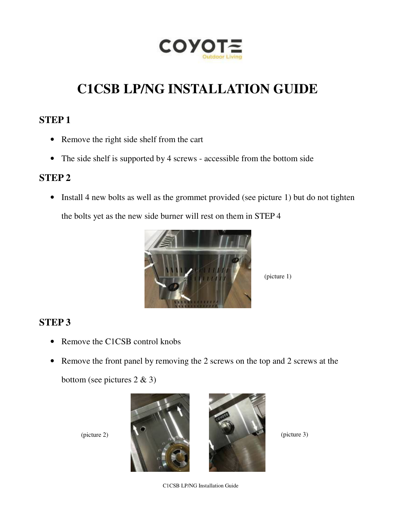

# **C1CSB LP/NG INSTALLATION GUIDE**

#### **STEP 1**

- Remove the right side shelf from the cart
- The side shelf is supported by 4 screws accessible from the bottom side

#### **STEP 2**

• Install 4 new bolts as well as the grommet provided (see picture 1) but do not tighten

the bolts yet as the new side burner will rest on them in STEP 4



(picture 1)

## **STEP 3**

- Remove the C1CSB control knobs
- Remove the front panel by removing the 2 screws on the top and 2 screws at the

bottom (see pictures 2 & 3)





C1CSB LP/NG Installation Guide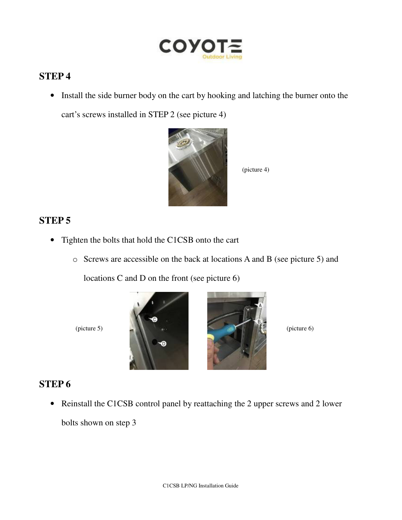

### **STEP 4**

• Install the side burner body on the cart by hooking and latching the burner onto the cart's screws installed in STEP 2 (see picture 4)



(picture 4)

#### **STEP 5**

- Tighten the bolts that hold the C1CSB onto the cart
	- o Screws are accessible on the back at locations A and B (see picture 5) and

locations C and D on the front (see picture 6)





#### **STEP 6**

• Reinstall the C1CSB control panel by reattaching the 2 upper screws and 2 lower bolts shown on step 3